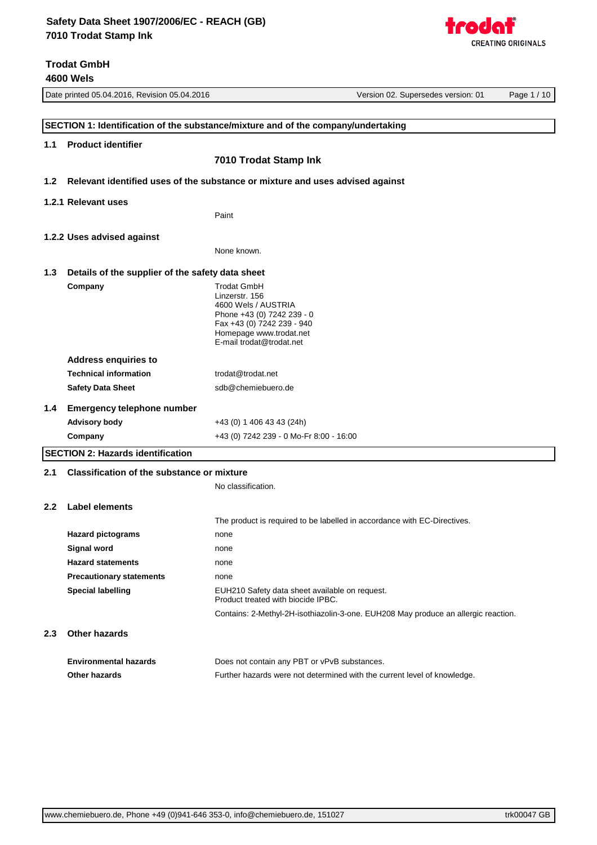|                  | <b>4600 Wels</b>                                 |                                                                                                                                                                                |                                    |             |  |
|------------------|--------------------------------------------------|--------------------------------------------------------------------------------------------------------------------------------------------------------------------------------|------------------------------------|-------------|--|
|                  | Date printed 05.04.2016, Revision 05.04.2016     |                                                                                                                                                                                | Version 02. Supersedes version: 01 | Page 1 / 10 |  |
|                  |                                                  |                                                                                                                                                                                |                                    |             |  |
|                  |                                                  | SECTION 1: Identification of the substance/mixture and of the company/undertaking                                                                                              |                                    |             |  |
| 1.1              | <b>Product identifier</b>                        |                                                                                                                                                                                |                                    |             |  |
|                  |                                                  | 7010 Trodat Stamp Ink                                                                                                                                                          |                                    |             |  |
| 1.2 <sub>2</sub> |                                                  | Relevant identified uses of the substance or mixture and uses advised against                                                                                                  |                                    |             |  |
|                  | 1.2.1 Relevant uses                              |                                                                                                                                                                                |                                    |             |  |
|                  |                                                  | Paint                                                                                                                                                                          |                                    |             |  |
|                  | 1.2.2 Uses advised against                       |                                                                                                                                                                                |                                    |             |  |
|                  |                                                  | None known.                                                                                                                                                                    |                                    |             |  |
| 1.3              | Details of the supplier of the safety data sheet |                                                                                                                                                                                |                                    |             |  |
|                  | Company                                          | <b>Trodat GmbH</b><br>Linzerstr. 156<br>4600 Wels / AUSTRIA<br>Phone +43 (0) 7242 239 - 0<br>Fax +43 (0) 7242 239 - 940<br>Homepage www.trodat.net<br>E-mail trodat@trodat.net |                                    |             |  |

|     | <b>Address enquiries to</b>       |                           |
|-----|-----------------------------------|---------------------------|
|     | <b>Technical information</b>      | trodat@trodat.net         |
|     | <b>Safety Data Sheet</b>          | sdb@chemiebuero.de        |
| 1.4 | <b>Emergency telephone number</b> |                           |
|     | <b>Advisory body</b>              | +43 (0) 1 406 43 43 (24h) |

| <b>Advisory body</b> | +43 (0) 1 406 43 43 (24h)               |
|----------------------|-----------------------------------------|
| Company              | +43 (0) 7242 239 - 0 Mo-Fr 8:00 - 16:00 |

# **SECTION 2: Hazards identification**

#### **2.1 Classification of the substance or mixture**

No classification.

# **2.2 Label elements**

|                                 | The product is required to be labelled in accordance with EC-Directives.             |
|---------------------------------|--------------------------------------------------------------------------------------|
| <b>Hazard pictograms</b>        | none                                                                                 |
| Signal word                     | none                                                                                 |
| <b>Hazard statements</b>        | none                                                                                 |
| <b>Precautionary statements</b> | none                                                                                 |
| <b>Special labelling</b>        | EUH210 Safety data sheet available on request.<br>Product treated with biocide IPBC. |
|                                 | Contains: 2-Methyl-2H-isothiazolin-3-one. EUH208 May produce an allergic reaction.   |
|                                 |                                                                                      |

# **2.3 Other hazards**

| <b>Environmental hazards</b> | Does not contain any PBT or vPvB substances.                             |
|------------------------------|--------------------------------------------------------------------------|
| <b>Other hazards</b>         | Further hazards were not determined with the current level of knowledge. |

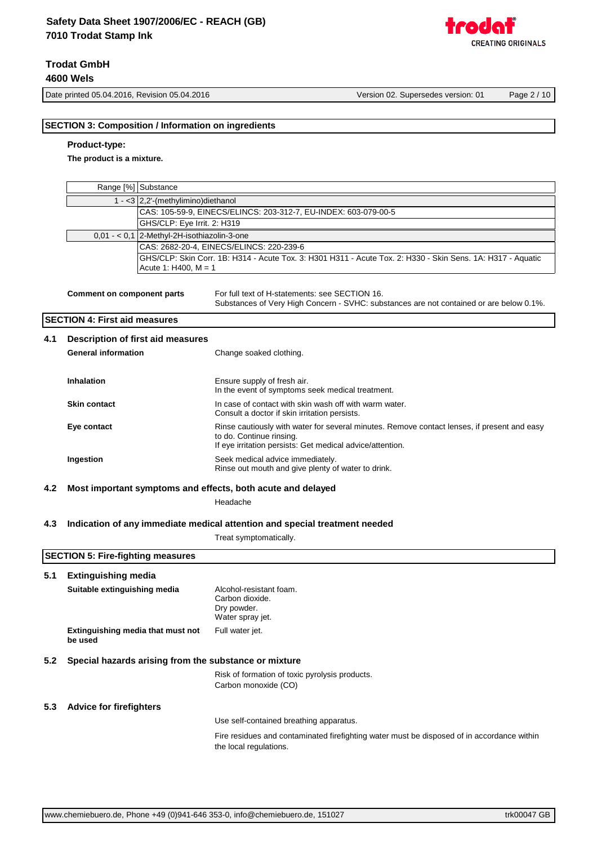Date printed 05.04.2016, Revision 05.04.2016 Version 02. Supersedes version: 01 Page 2 / 10

hť

**CREATING ORIGINALS** 

trod

# **SECTION 3: Composition / Information on ingredients**

#### **Product-type:**

**The product is a mixture.**

|     |                                                             | Range [%] Substance                                                        |                                                                                                                                                                                      |  |
|-----|-------------------------------------------------------------|----------------------------------------------------------------------------|--------------------------------------------------------------------------------------------------------------------------------------------------------------------------------------|--|
|     |                                                             | 1 - <3 $ 2,2'$ -(methylimino)diethanol                                     |                                                                                                                                                                                      |  |
|     |                                                             | CAS: 105-59-9, EINECS/ELINCS: 203-312-7, EU-INDEX: 603-079-00-5            |                                                                                                                                                                                      |  |
|     |                                                             | GHS/CLP: Eye Irrit. 2: H319                                                |                                                                                                                                                                                      |  |
|     |                                                             | $0.01 - 0.1$ 2-Methyl-2H-isothiazolin-3-one                                |                                                                                                                                                                                      |  |
|     |                                                             | CAS: 2682-20-4, EINECS/ELINCS: 220-239-6                                   |                                                                                                                                                                                      |  |
|     |                                                             | Acute 1: H400, M = 1                                                       | GHS/CLP: Skin Corr. 1B: H314 - Acute Tox. 3: H301 H311 - Acute Tox. 2: H330 - Skin Sens. 1A: H317 - Aquatic                                                                          |  |
|     | <b>Comment on component parts</b>                           |                                                                            | For full text of H-statements: see SECTION 16.<br>Substances of Very High Concern - SVHC: substances are not contained or are below 0.1%.                                            |  |
|     | <b>SECTION 4: First aid measures</b>                        |                                                                            |                                                                                                                                                                                      |  |
| 4.1 |                                                             | Description of first aid measures                                          |                                                                                                                                                                                      |  |
|     | <b>General information</b>                                  |                                                                            | Change soaked clothing.                                                                                                                                                              |  |
|     | <b>Inhalation</b>                                           |                                                                            | Ensure supply of fresh air.<br>In the event of symptoms seek medical treatment.                                                                                                      |  |
|     | <b>Skin contact</b>                                         |                                                                            | In case of contact with skin wash off with warm water.<br>Consult a doctor if skin irritation persists.                                                                              |  |
|     | Eye contact                                                 |                                                                            | Rinse cautiously with water for several minutes. Remove contact lenses, if present and easy<br>to do. Continue rinsing.<br>If eye irritation persists: Get medical advice/attention. |  |
|     | Ingestion                                                   |                                                                            | Seek medical advice immediately.<br>Rinse out mouth and give plenty of water to drink.                                                                                               |  |
| 4.2 | Most important symptoms and effects, both acute and delayed |                                                                            |                                                                                                                                                                                      |  |
|     |                                                             |                                                                            | Headache                                                                                                                                                                             |  |
| 4.3 |                                                             | Indication of any immediate medical attention and special treatment needed |                                                                                                                                                                                      |  |
|     |                                                             |                                                                            | Treat symptomatically.                                                                                                                                                               |  |
|     | <b>SECTION 5: Fire-fighting measures</b>                    |                                                                            |                                                                                                                                                                                      |  |
| 5.1 | <b>Extinguishing media</b>                                  |                                                                            |                                                                                                                                                                                      |  |
|     | Suitable extinguishing media                                |                                                                            | Alcohol-resistant foam.<br>Carbon dioxide.<br>Dry powder.<br>Water spray jet.                                                                                                        |  |
|     | Extinguishing media that must not<br>be used                |                                                                            | Full water jet.                                                                                                                                                                      |  |
| 5.2 | Special hazards arising from the substance or mixture       |                                                                            |                                                                                                                                                                                      |  |
|     |                                                             |                                                                            | Risk of formation of toxic pyrolysis products.<br>Carbon monoxide (CO)                                                                                                               |  |
| 5.3 | <b>Advice for firefighters</b>                              |                                                                            |                                                                                                                                                                                      |  |
|     |                                                             |                                                                            | Use self-contained breathing apparatus.                                                                                                                                              |  |
|     |                                                             |                                                                            | Fire residues and contaminated firefighting water must be disposed of in accordance within<br>the local regulations.                                                                 |  |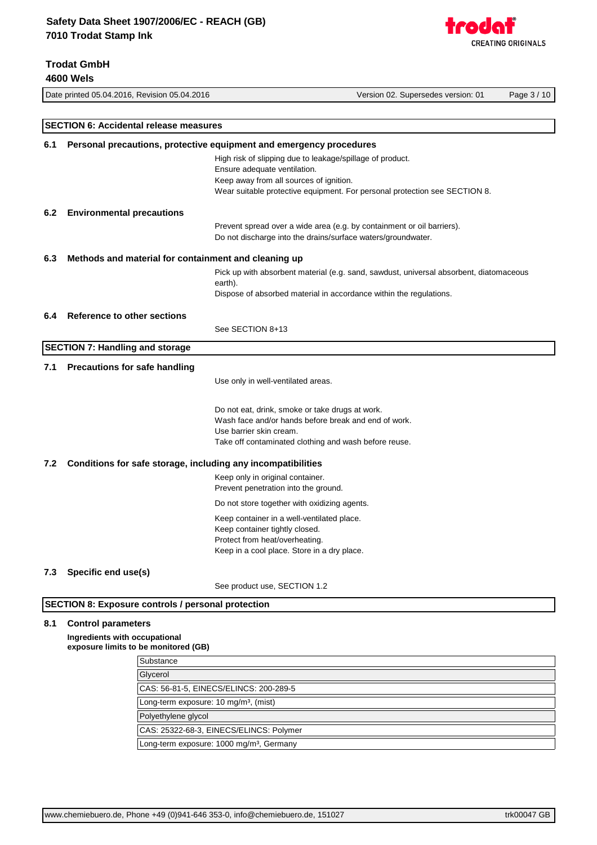

| Date printed 05.04.2016, Revision 05.04.2016<br>Version 02. Supersedes version: 01<br>Page 3 / 10 |                                                                                                                                                               |                                                                                                                                                              |  |
|---------------------------------------------------------------------------------------------------|---------------------------------------------------------------------------------------------------------------------------------------------------------------|--------------------------------------------------------------------------------------------------------------------------------------------------------------|--|
|                                                                                                   |                                                                                                                                                               |                                                                                                                                                              |  |
| <b>SECTION 6: Accidental release measures</b>                                                     |                                                                                                                                                               |                                                                                                                                                              |  |
| 6.1                                                                                               | Personal precautions, protective equipment and emergency procedures                                                                                           |                                                                                                                                                              |  |
|                                                                                                   | Ensure adequate ventilation.<br>Keep away from all sources of ignition.                                                                                       | High risk of slipping due to leakage/spillage of product.<br>Wear suitable protective equipment. For personal protection see SECTION 8.                      |  |
| <b>Environmental precautions</b><br>6.2                                                           |                                                                                                                                                               |                                                                                                                                                              |  |
|                                                                                                   |                                                                                                                                                               | Prevent spread over a wide area (e.g. by containment or oil barriers).<br>Do not discharge into the drains/surface waters/groundwater.                       |  |
| 6.3                                                                                               | Methods and material for containment and cleaning up                                                                                                          |                                                                                                                                                              |  |
|                                                                                                   | earth).                                                                                                                                                       | Pick up with absorbent material (e.g. sand, sawdust, universal absorbent, diatomaceous<br>Dispose of absorbed material in accordance within the regulations. |  |
| <b>Reference to other sections</b><br>6.4                                                         |                                                                                                                                                               |                                                                                                                                                              |  |
|                                                                                                   | See SECTION 8+13                                                                                                                                              |                                                                                                                                                              |  |
| <b>SECTION 7: Handling and storage</b>                                                            |                                                                                                                                                               |                                                                                                                                                              |  |
| <b>Precautions for safe handling</b><br>7.1                                                       |                                                                                                                                                               |                                                                                                                                                              |  |
|                                                                                                   | Use only in well-ventilated areas.                                                                                                                            |                                                                                                                                                              |  |
|                                                                                                   | Do not eat, drink, smoke or take drugs at work.<br>Use barrier skin cream.                                                                                    | Wash face and/or hands before break and end of work.<br>Take off contaminated clothing and wash before reuse.                                                |  |
| 7.2                                                                                               | Conditions for safe storage, including any incompatibilities                                                                                                  |                                                                                                                                                              |  |
|                                                                                                   | Keep only in original container.<br>Prevent penetration into the ground.                                                                                      |                                                                                                                                                              |  |
|                                                                                                   | Do not store together with oxidizing agents.                                                                                                                  |                                                                                                                                                              |  |
|                                                                                                   | Keep container in a well-ventilated place.<br>Keep container tightly closed.<br>Protect from heat/overheating.<br>Keep in a cool place. Store in a dry place. |                                                                                                                                                              |  |
| Specific end use(s)<br>7.3                                                                        |                                                                                                                                                               |                                                                                                                                                              |  |
|                                                                                                   | See product use, SECTION 1.2                                                                                                                                  |                                                                                                                                                              |  |
|                                                                                                   | <b>SECTION 8: Exposure controls / personal protection</b>                                                                                                     |                                                                                                                                                              |  |

**Ingredients with occupational exposure limits to be monitored (GB)**

| Substance                                            |  |
|------------------------------------------------------|--|
| Glycerol                                             |  |
| CAS: 56-81-5, EINECS/ELINCS: 200-289-5               |  |
| Long-term exposure: 10 mg/m <sup>3</sup> , (mist)    |  |
| Polyethylene glycol                                  |  |
| CAS: 25322-68-3, EINECS/ELINCS: Polymer              |  |
| Long-term exposure: 1000 mg/m <sup>3</sup> , Germany |  |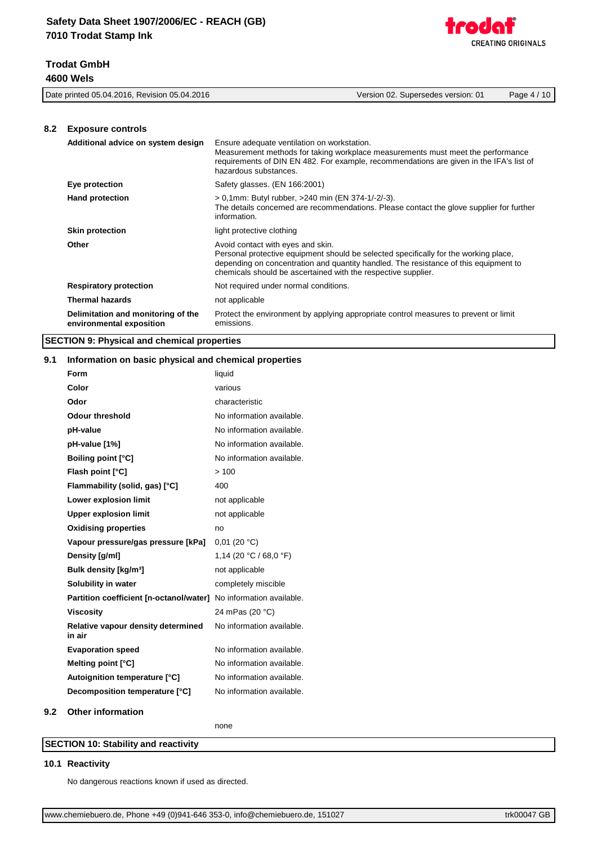

|     | Date printed 05.04.2016, Revision 05.04.2016 | Page 4 / 10<br>Version 02. Supersedes version: 01                                                                                                                                                                         |
|-----|----------------------------------------------|---------------------------------------------------------------------------------------------------------------------------------------------------------------------------------------------------------------------------|
|     |                                              |                                                                                                                                                                                                                           |
| 8.2 | <b>Exposure controls</b>                     |                                                                                                                                                                                                                           |
|     | Additional advice on system design           | Ensure adequate ventilation on workstation.<br>Measurement methods for taking workplace measurements must meet the performance<br>requirements of DIN EN 482. For example, recommendations are given in the IFA's list of |

|                                                                | hazardous substances.                                                                                                                                                                                                                                                              |
|----------------------------------------------------------------|------------------------------------------------------------------------------------------------------------------------------------------------------------------------------------------------------------------------------------------------------------------------------------|
| Eye protection                                                 | Safety glasses. (EN 166:2001)                                                                                                                                                                                                                                                      |
| <b>Hand protection</b>                                         | > 0.1mm: Butyl rubber, >240 min (EN 374-1/-2/-3).<br>The details concerned are recommendations. Please contact the glove supplier for further<br>information.                                                                                                                      |
| <b>Skin protection</b>                                         | light protective clothing                                                                                                                                                                                                                                                          |
| Other                                                          | Avoid contact with eyes and skin.<br>Personal protective equipment should be selected specifically for the working place,<br>depending on concentration and quantity handled. The resistance of this equipment to<br>chemicals should be ascertained with the respective supplier. |
| <b>Respiratory protection</b>                                  | Not required under normal conditions.                                                                                                                                                                                                                                              |
| <b>Thermal hazards</b>                                         | not applicable                                                                                                                                                                                                                                                                     |
| Delimitation and monitoring of the<br>environmental exposition | Protect the environment by applying appropriate control measures to prevent or limit<br>emissions.                                                                                                                                                                                 |

# **SECTION 9: Physical and chemical properties**

# **9.1 Information on basic physical and chemical properties**

| information on basic physical and chemical properties             |                           |
|-------------------------------------------------------------------|---------------------------|
| Form                                                              | liquid                    |
| Color                                                             | various                   |
| Odor                                                              | characteristic            |
| <b>Odour threshold</b>                                            | No information available. |
| pH-value                                                          | No information available. |
| pH-value [1%]                                                     | No information available. |
| <b>Boiling point [°C]</b>                                         | No information available. |
| Flash point [°C]                                                  | >100                      |
| Flammability (solid, gas) [°C]                                    | 400                       |
| Lower explosion limit                                             | not applicable            |
| <b>Upper explosion limit</b>                                      | not applicable            |
| <b>Oxidising properties</b>                                       | no                        |
| Vapour pressure/gas pressure [kPa]                                | $0,01$ (20 °C)            |
| Density [g/ml]                                                    | 1,14 (20 °C / 68,0 °F)    |
| Bulk density [kg/m <sup>3</sup> ]                                 | not applicable            |
| Solubility in water                                               | completely miscible       |
| Partition coefficient [n-octanol/water] No information available. |                           |
| <b>Viscosity</b>                                                  | 24 mPas (20 °C)           |
| Relative vapour density determined<br>in air                      | No information available. |
| <b>Evaporation speed</b>                                          | No information available. |
| Melting point [°C]                                                | No information available. |
| Autoignition temperature [°C]                                     | No information available. |
| Decomposition temperature [°C]                                    | No information available. |
| <b>Other information</b>                                          |                           |
|                                                                   | none                      |
|                                                                   |                           |

# **SECTION 10: Stability and reactivity**

#### **10.1 Reactivity**

No dangerous reactions known if used as directed.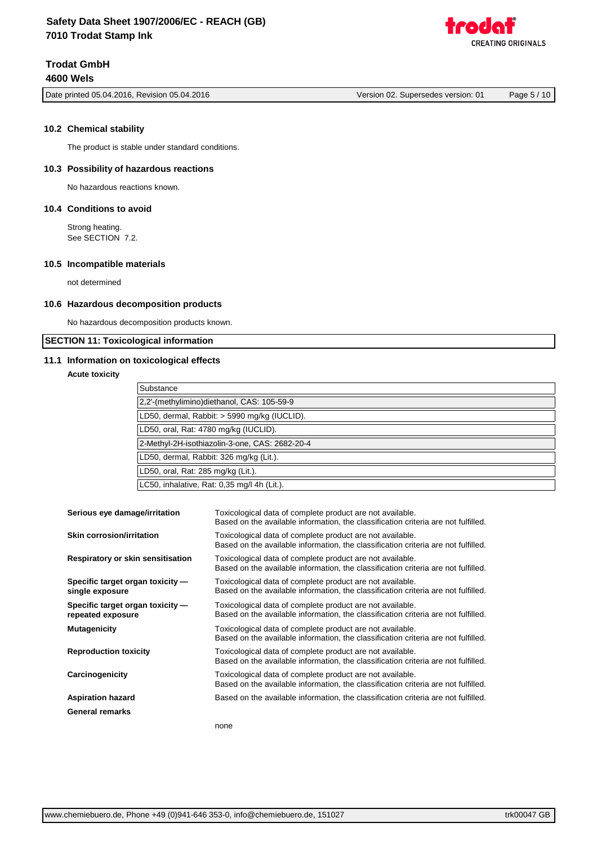Date printed 05.04.2016, Revision 05.04.2016 Version 02. Supersedes version: 01 Page 5 / 10

CREATING ORIGINALS

#### **10.2 Chemical stability**

The product is stable under standard conditions.

#### **10.3 Possibility of hazardous reactions**

No hazardous reactions known.

#### **10.4 Conditions to avoid**

Strong heating. See SECTION 7.2.

#### **10.5 Incompatible materials**

not determined

#### **10.6 Hazardous decomposition products**

No hazardous decomposition products known.

# **SECTION 11: Toxicological information**

#### **11.1 Information on toxicological effects**

#### **Acute toxicity**

| Substance                                      |
|------------------------------------------------|
| 2,2'-(methylimino)diethanol, CAS: 105-59-9     |
| LD50, dermal, Rabbit: > 5990 mg/kg (IUCLID).   |
| LD50, oral, Rat: 4780 mg/kg (IUCLID).          |
| 2-Methyl-2H-isothiazolin-3-one, CAS: 2682-20-4 |
| LD50, dermal, Rabbit: 326 mg/kg (Lit.).        |
| LD50, oral, Rat: 285 mg/kg (Lit.).             |
| LC50, inhalative, Rat: 0,35 mg/l 4h (Lit.).    |

| Serious eye damage/irritation                         | Toxicological data of complete product are not available.<br>Based on the available information, the classification criteria are not fulfilled. |
|-------------------------------------------------------|-------------------------------------------------------------------------------------------------------------------------------------------------|
| <b>Skin corrosion/irritation</b>                      | Toxicological data of complete product are not available.<br>Based on the available information, the classification criteria are not fulfilled. |
| Respiratory or skin sensitisation                     | Toxicological data of complete product are not available.<br>Based on the available information, the classification criteria are not fulfilled. |
| Specific target organ toxicity -<br>single exposure   | Toxicological data of complete product are not available.<br>Based on the available information, the classification criteria are not fulfilled. |
| Specific target organ toxicity -<br>repeated exposure | Toxicological data of complete product are not available.<br>Based on the available information, the classification criteria are not fulfilled. |
| <b>Mutagenicity</b>                                   | Toxicological data of complete product are not available.<br>Based on the available information, the classification criteria are not fulfilled. |
| <b>Reproduction toxicity</b>                          | Toxicological data of complete product are not available.<br>Based on the available information, the classification criteria are not fulfilled. |
| Carcinogenicity                                       | Toxicological data of complete product are not available.<br>Based on the available information, the classification criteria are not fulfilled. |
| <b>Aspiration hazard</b>                              | Based on the available information, the classification criteria are not fulfilled.                                                              |
| <b>General remarks</b>                                |                                                                                                                                                 |
|                                                       | none                                                                                                                                            |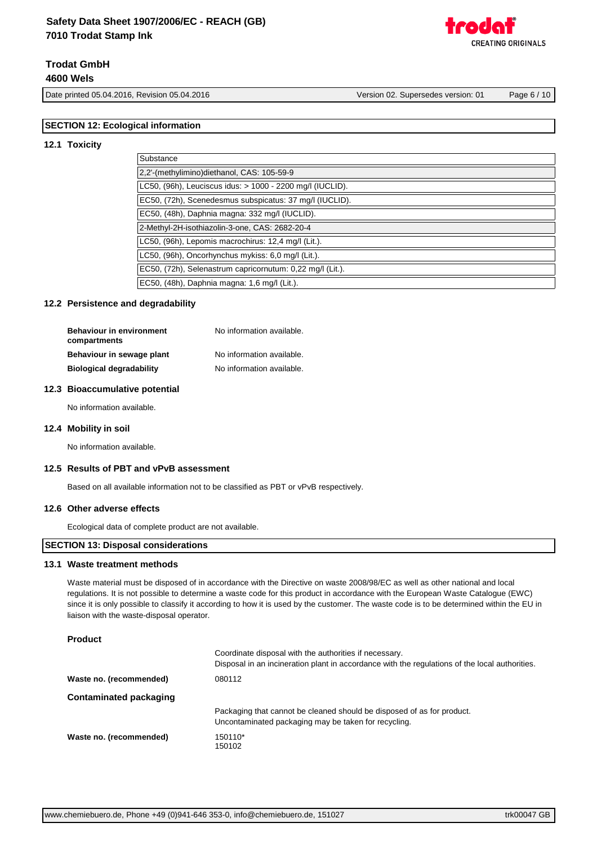# **Safety Data Sheet 1907/2006/EC - REACH (GB) 7010 Trodat Stamp Ink**

# **Trodat GmbH 4600 Wels**

Date printed 05.04.2016, Revision 05.04.2016 Version 02. Supersedes version: 01 Page 6 / 10

**CREATING ORIGINALS** 

# **SECTION 12: Ecological information**

#### **12.1 Toxicity**

| Substance                                                 |
|-----------------------------------------------------------|
| 2,2'-(methylimino)diethanol, CAS: 105-59-9                |
| LC50, (96h), Leuciscus idus: > 1000 - 2200 mg/l (IUCLID). |
| EC50, (72h), Scenedesmus subspicatus: 37 mg/l (IUCLID).   |
| EC50, (48h), Daphnia magna: 332 mg/l (IUCLID).            |
| 2-Methyl-2H-isothiazolin-3-one, CAS: 2682-20-4            |
| LC50, (96h), Lepomis macrochirus: 12,4 mg/l (Lit.).       |
| LC50, (96h), Oncorhynchus mykiss: 6,0 mg/l (Lit.).        |
| EC50, (72h), Selenastrum capricornutum: 0,22 mg/l (Lit.). |
| EC50, (48h), Daphnia magna: 1,6 mg/l (Lit.).              |

#### **12.2 Persistence and degradability**

| <b>Behaviour in environment</b> | No information available. |
|---------------------------------|---------------------------|
| compartments                    |                           |
| Behaviour in sewage plant       | No information available. |
| <b>Biological degradability</b> | No information available. |

#### **12.3 Bioaccumulative potential**

No information available.

#### **12.4 Mobility in soil**

No information available.

#### **12.5 Results of PBT and vPvB assessment**

Based on all available information not to be classified as PBT or vPvB respectively.

#### **12.6 Other adverse effects**

Ecological data of complete product are not available.

#### **SECTION 13: Disposal considerations**

#### **13.1 Waste treatment methods**

Waste material must be disposed of in accordance with the Directive on waste 2008/98/EC as well as other national and local regulations. It is not possible to determine a waste code for this product in accordance with the European Waste Catalogue (EWC) since it is only possible to classify it according to how it is used by the customer. The waste code is to be determined within the EU in liaison with the waste-disposal operator.

#### **Product**

|                         | Coordinate disposal with the authorities if necessary.<br>Disposal in an incineration plant in accordance with the regulations of the local authorities. |
|-------------------------|----------------------------------------------------------------------------------------------------------------------------------------------------------|
| Waste no. (recommended) | 080112                                                                                                                                                   |
| Contaminated packaging  |                                                                                                                                                          |
|                         | Packaging that cannot be cleaned should be disposed of as for product.<br>Uncontaminated packaging may be taken for recycling.                           |
| Waste no. (recommended) | 150110*<br>150102                                                                                                                                        |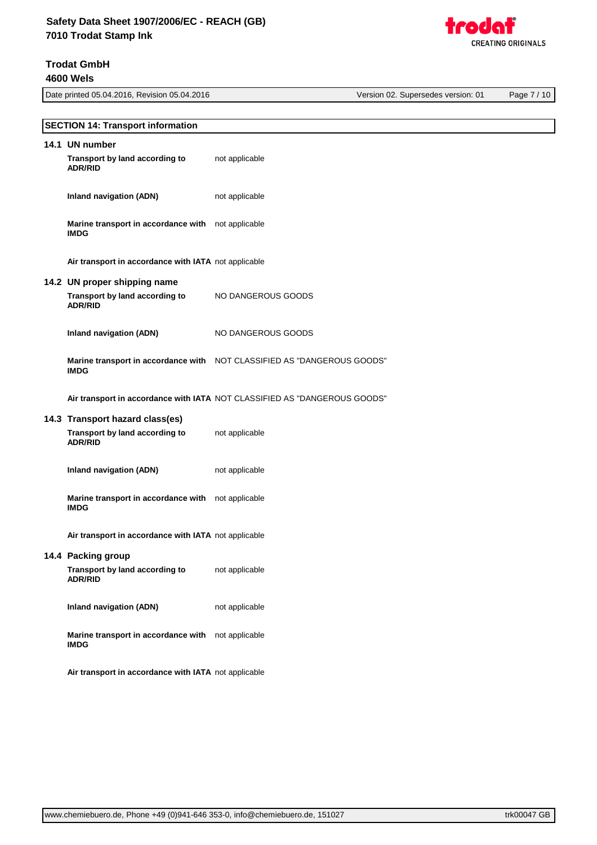Date printed 05.04.2016, Revision 05.04.2016<br>
Version 02. Supersedes version: 01 Page 7 / 10



|  | ato printo a boro nizo roj riorioloni poto nizo ro                | .                                                                          |  |  |
|--|-------------------------------------------------------------------|----------------------------------------------------------------------------|--|--|
|  |                                                                   |                                                                            |  |  |
|  | <b>SECTION 14: Transport information</b>                          |                                                                            |  |  |
|  | 14.1 UN number                                                    |                                                                            |  |  |
|  | Transport by land according to<br><b>ADR/RID</b>                  | not applicable                                                             |  |  |
|  | <b>Inland navigation (ADN)</b>                                    | not applicable                                                             |  |  |
|  | Marine transport in accordance with not applicable<br><b>IMDG</b> |                                                                            |  |  |
|  | Air transport in accordance with IATA not applicable              |                                                                            |  |  |
|  | 14.2 UN proper shipping name                                      |                                                                            |  |  |
|  | Transport by land according to<br><b>ADR/RID</b>                  | NO DANGEROUS GOODS                                                         |  |  |
|  | Inland navigation (ADN)                                           | NO DANGEROUS GOODS                                                         |  |  |
|  | <b>IMDG</b>                                                       | Marine transport in accordance with    NOT CLASSIFIED AS "DANGEROUS GOODS" |  |  |
|  |                                                                   | Air transport in accordance with IATA NOT CLASSIFIED AS "DANGEROUS GOODS"  |  |  |
|  | 14.3 Transport hazard class(es)                                   |                                                                            |  |  |
|  | Transport by land according to<br><b>ADR/RID</b>                  | not applicable                                                             |  |  |
|  | <b>Inland navigation (ADN)</b>                                    | not applicable                                                             |  |  |
|  | Marine transport in accordance with not applicable<br><b>IMDG</b> |                                                                            |  |  |
|  | Air transport in accordance with IATA not applicable              |                                                                            |  |  |
|  | 14.4 Packing group                                                |                                                                            |  |  |
|  | Transport by land according to<br><b>ADR/RID</b>                  | not applicable                                                             |  |  |
|  | <b>Inland navigation (ADN)</b>                                    | not applicable                                                             |  |  |
|  | Marine transport in accordance with not applicable<br><b>IMDG</b> |                                                                            |  |  |
|  | Air transport in accordance with IATA not applicable              |                                                                            |  |  |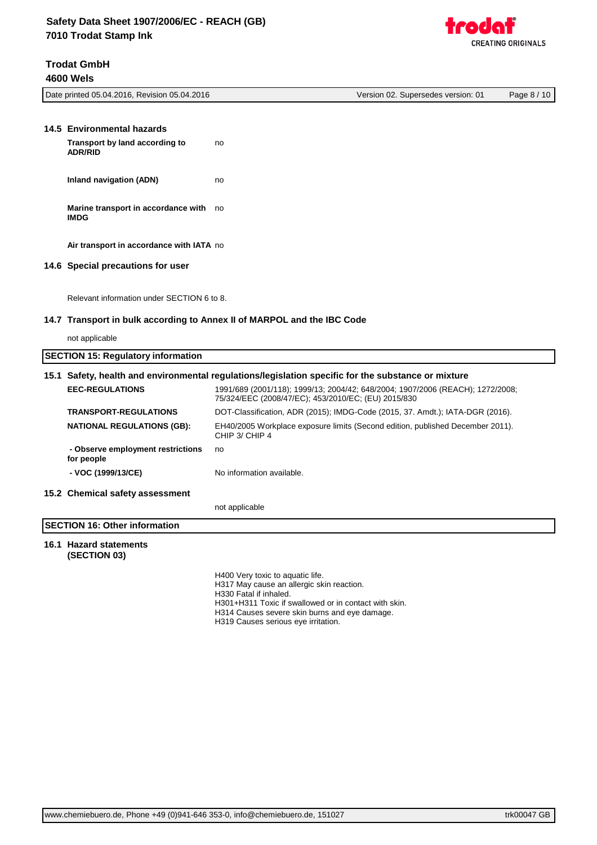

| 4600 Weis                                                                                         |                                                                                                                                       |  |  |
|---------------------------------------------------------------------------------------------------|---------------------------------------------------------------------------------------------------------------------------------------|--|--|
| Date printed 05.04.2016, Revision 05.04.2016<br>Version 02. Supersedes version: 01<br>Page 8 / 10 |                                                                                                                                       |  |  |
|                                                                                                   |                                                                                                                                       |  |  |
| 14.5 Environmental hazards                                                                        |                                                                                                                                       |  |  |
| Transport by land according to<br><b>ADR/RID</b>                                                  | no                                                                                                                                    |  |  |
| Inland navigation (ADN)                                                                           | no                                                                                                                                    |  |  |
| Marine transport in accordance with<br><b>IMDG</b>                                                | no                                                                                                                                    |  |  |
| Air transport in accordance with IATA no                                                          |                                                                                                                                       |  |  |
| 14.6 Special precautions for user                                                                 |                                                                                                                                       |  |  |
| Relevant information under SECTION 6 to 8.                                                        |                                                                                                                                       |  |  |
|                                                                                                   | 14.7 Transport in bulk according to Annex II of MARPOL and the IBC Code                                                               |  |  |
| not applicable                                                                                    |                                                                                                                                       |  |  |
| <b>SECTION 15: Regulatory information</b>                                                         |                                                                                                                                       |  |  |
|                                                                                                   | 15.1 Safety, health and environmental regulations/legislation specific for the substance or mixture                                   |  |  |
| <b>EEC-REGULATIONS</b>                                                                            | 1991/689 (2001/118); 1999/13; 2004/42; 648/2004; 1907/2006 (REACH); 1272/2008;<br>75/324/EEC (2008/47/EC); 453/2010/EC; (EU) 2015/830 |  |  |
| <b>TRANSPORT-REGULATIONS</b>                                                                      | DOT-Classification, ADR (2015); IMDG-Code (2015, 37. Amdt.); IATA-DGR (2016).                                                         |  |  |
| <b>NATIONAL REGULATIONS (GB):</b>                                                                 | EH40/2005 Workplace exposure limits (Second edition, published December 2011).<br>CHIP 3/ CHIP 4                                      |  |  |
| - Observe employment restrictions<br>for people                                                   | no                                                                                                                                    |  |  |
| - VOC (1999/13/CE)                                                                                | No information available.                                                                                                             |  |  |
| 15.2 Chemical safety assessment                                                                   |                                                                                                                                       |  |  |
|                                                                                                   | not applicable                                                                                                                        |  |  |
| <b>SECTION 16: Other information</b>                                                              |                                                                                                                                       |  |  |
| 16.1 Hazard statements<br>(SECTION 03)                                                            |                                                                                                                                       |  |  |

H400 Very toxic to aquatic life. H317 May cause an allergic skin reaction. H330 Fatal if inhaled. H301+H311 Toxic if swallowed or in contact with skin. H314 Causes severe skin burns and eye damage. H319 Causes serious eye irritation.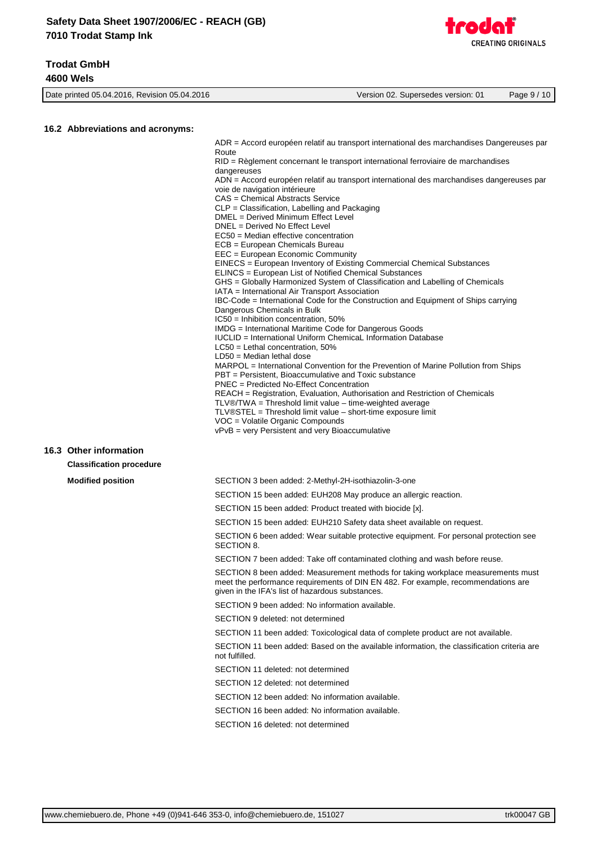# **Safety Data Sheet 1907/2006/EC - REACH (GB) 7010 Trodat Stamp Ink**

# **Trodat GmbH 4600 Wels**

| 16.2 Abbreviations and acronyms: |                                                                                                                                                                                                                           |
|----------------------------------|---------------------------------------------------------------------------------------------------------------------------------------------------------------------------------------------------------------------------|
|                                  | ADR = Accord européen relatif au transport international des marchandises Dangereuses par                                                                                                                                 |
|                                  | Route                                                                                                                                                                                                                     |
|                                  | RID = Règlement concernant le transport international ferroviaire de marchandises<br>dangereuses                                                                                                                          |
|                                  | ADN = Accord européen relatif au transport international des marchandises dangereuses par                                                                                                                                 |
|                                  | voie de navigation intérieure<br>CAS = Chemical Abstracts Service                                                                                                                                                         |
|                                  | CLP = Classification, Labelling and Packaging                                                                                                                                                                             |
|                                  | DMEL = Derived Minimum Effect Level                                                                                                                                                                                       |
|                                  | DNEL = Derived No Effect Level<br>EC50 = Median effective concentration                                                                                                                                                   |
|                                  | ECB = European Chemicals Bureau                                                                                                                                                                                           |
|                                  | EEC = European Economic Community<br>EINECS = European Inventory of Existing Commercial Chemical Substances                                                                                                               |
|                                  | ELINCS = European List of Notified Chemical Substances                                                                                                                                                                    |
|                                  | GHS = Globally Harmonized System of Classification and Labelling of Chemicals                                                                                                                                             |
|                                  | IATA = International Air Transport Association<br>IBC-Code = International Code for the Construction and Equipment of Ships carrying                                                                                      |
|                                  | Dangerous Chemicals in Bulk                                                                                                                                                                                               |
|                                  | IC50 = Inhibition concentration, 50%<br>IMDG = International Maritime Code for Dangerous Goods                                                                                                                            |
|                                  | <b>IUCLID</b> = International Uniform ChemicaL Information Database                                                                                                                                                       |
|                                  | $LC50$ = Lethal concentration, 50%                                                                                                                                                                                        |
|                                  | $LD50 = Median$ lethal dose<br>MARPOL = International Convention for the Prevention of Marine Pollution from Ships                                                                                                        |
|                                  | PBT = Persistent, Bioaccumulative and Toxic substance                                                                                                                                                                     |
|                                  | PNEC = Predicted No-Effect Concentration                                                                                                                                                                                  |
|                                  | REACH = Registration, Evaluation, Authorisation and Restriction of Chemicals<br>$TLV@/TWA = Threshold limit value - time-weighted average$                                                                                |
|                                  | TLV®STEL = Threshold limit value - short-time exposure limit                                                                                                                                                              |
|                                  | VOC = Volatile Organic Compounds<br>vPvB = very Persistent and very Bioaccumulative                                                                                                                                       |
|                                  |                                                                                                                                                                                                                           |
| 16.3 Other information           |                                                                                                                                                                                                                           |
| <b>Classification procedure</b>  |                                                                                                                                                                                                                           |
| <b>Modified position</b>         | SECTION 3 been added: 2-Methyl-2H-isothiazolin-3-one                                                                                                                                                                      |
|                                  | SECTION 15 been added: EUH208 May produce an allergic reaction.                                                                                                                                                           |
|                                  | SECTION 15 been added: Product treated with biocide [x].                                                                                                                                                                  |
|                                  | SECTION 15 been added: EUH210 Safety data sheet available on request.                                                                                                                                                     |
|                                  | SECTION 6 been added: Wear suitable protective equipment. For personal protection see<br>SECTION 8.                                                                                                                       |
|                                  | SECTION 7 been added: Take off contaminated clothing and wash before reuse.                                                                                                                                               |
|                                  | SECTION 8 been added: Measurement methods for taking workplace measurements must<br>meet the performance requirements of DIN EN 482. For example, recommendations are<br>given in the IFA's list of hazardous substances. |
|                                  | SECTION 9 been added: No information available.                                                                                                                                                                           |
|                                  | SECTION 9 deleted: not determined                                                                                                                                                                                         |
|                                  | SECTION 11 been added: Toxicological data of complete product are not available.                                                                                                                                          |
|                                  | SECTION 11 been added: Based on the available information, the classification criteria are<br>not fulfilled.                                                                                                              |
|                                  | SECTION 11 deleted: not determined                                                                                                                                                                                        |
|                                  | SECTION 12 deleted: not determined                                                                                                                                                                                        |
|                                  | SECTION 12 been added: No information available.                                                                                                                                                                          |
|                                  |                                                                                                                                                                                                                           |

SECTION 16 been added: No information available.

SECTION 16 deleted: not determined



Date printed 05.04.2016, Revision 05.04.2016 Version 02. Supersedes version: 01 Page 9 / 10